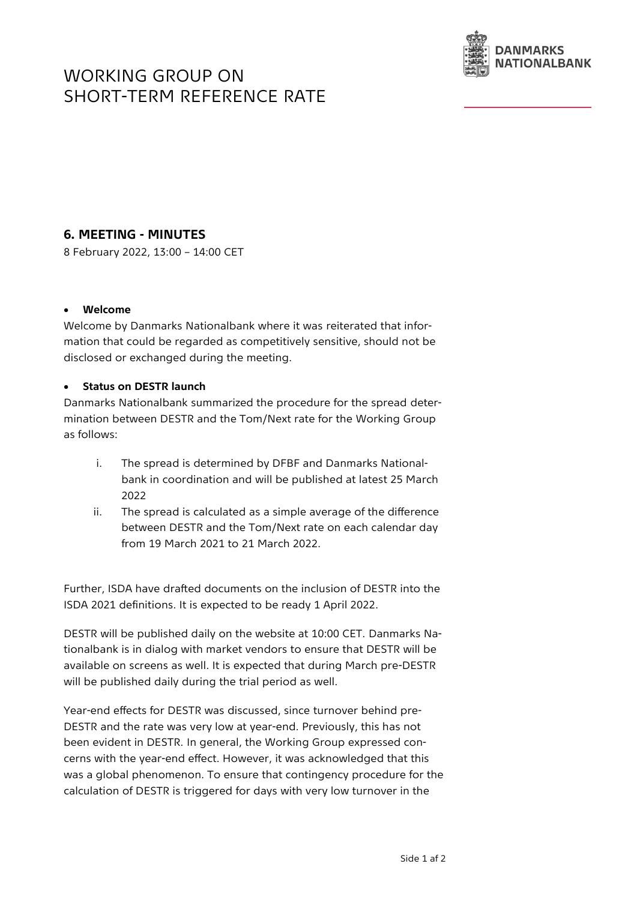# WORKING GROUP ON SHORT-TERM REFERENCE RATE



## **6. MEETING - MINUTES**

8 February 2022, 13:00 – 14:00 CET

#### • **Welcome**

Welcome by Danmarks Nationalbank where it was reiterated that information that could be regarded as competitively sensitive, should not be disclosed or exchanged during the meeting.

#### • **Status on DESTR launch**

Danmarks Nationalbank summarized the procedure for the spread determination between DESTR and the Tom/Next rate for the Working Group as follows:

- i. The spread is determined by DFBF and Danmarks Nationalbank in coordination and will be published at latest 25 March 2022
- ii. The spread is calculated as a simple average of the difference between DESTR and the Tom/Next rate on each calendar day from 19 March 2021 to 21 March 2022.

Further, ISDA have drafted documents on the inclusion of DESTR into the ISDA 2021 definitions. It is expected to be ready 1 April 2022.

DESTR will be published daily on the website at 10:00 CET. Danmarks Nationalbank is in dialog with market vendors to ensure that DESTR will be available on screens as well. It is expected that during March pre-DESTR will be published daily during the trial period as well.

Year-end effects for DESTR was discussed, since turnover behind pre-DESTR and the rate was very low at year-end. Previously, this has not been evident in DESTR. In general, the Working Group expressed concerns with the year-end effect. However, it was acknowledged that this was a global phenomenon. To ensure that contingency procedure for the calculation of DESTR is triggered for days with very low turnover in the